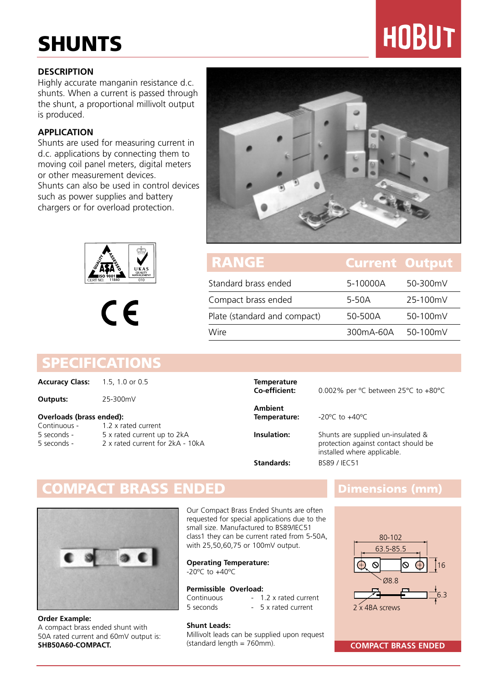# **SHUNTS**

### **DESCRIPTION**

Highly accurate manganin resistance d.c. shunts. When a current is passed through the shunt, a proportional millivolt output is produced.

### **APPLICATION**

Shunts are used for measuring current in d.c. applications by connecting them to moving coil panel meters, digital meters or other measurement devices. Shunts can also be used in control devices such as power supplies and battery chargers or for overload protection.





## Standard brass ended 5-10000A 50-300mV Compact brass ended 5-50A 25-100mV Plate (standard and compact) 50-500A 50-100mV Wire 300mA-60A 50-100mV **RANGE Current Output**

### **SPECIFICATIONS**

**Accuracy Class:** 1.5, 1.0 or 0.5

### **Outputs:** 25-300mV

### **Overloads (brass ended):**

| Continuous - | 1.2 x rated current              |
|--------------|----------------------------------|
| 5 seconds -  | 5 x rated current up to 2kA      |
| 5 seconds -  | 2 x rated current for 2kA - 10kA |

## **Temperature Ambient Temperature:** -20ºC to +40ºC

**Co-efficient:** 0.002% per ºC between 25°C to +80°C

**Insulation:** Shunts are supplied un-insulated & protection against contact should be installed where applicable. **Standards:** BS89 / IEC51

### **COMPACT BRASS ENDED Dimensions (mm)**



**Order Example:**  A compact brass ended shunt with 50A rated current and 60mV output is: **SHB50A60-COMPACT.**

Our Compact Brass Ended Shunts are often requested for special applications due to the small size. Manufactured to BS89/IEC51 class1 they can be current rated from 5-50A, with 25,50,60,75 or 100mV output.

**Operating Temperature:**  -20ºC to +40ºC

### **Permissible Overload:**

Continuous - 1.2 x rated current<br>5 seconds - 5 x rated current - 5 x rated current

### **Shunt Leads:**

Millivolt leads can be supplied upon request (standard length = 760mm).



(standard length = 760mm). **COMPACT BRASS ENDED**

# **HOBUT**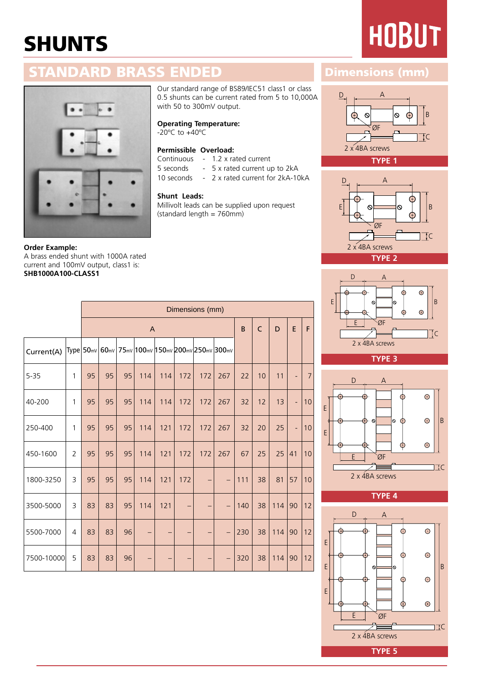# **SHUNTS**

# **HOBUT**

## **STANDARD BRASS ENDED Dimensions (mm)**



### **Order Example:**  A brass ended shunt with 1000A rated current and 100mV output, class1 is: **SHB1000A100-CLASS1**

Our standard range of BS89/IEC51 class1 or class 0.5 shunts can be current rated from 5 to 10,000A with 50 to 300mV output.

**Operating Temperature:** 

-20ºC to +40ºC

### **Permissible Overload:**

Continuous - 1.2 x rated current

5 seconds - 5 x rated current up to 2kA

10 seconds - 2 x rated current for 2kA-10kA

### **Shunt Leads:**

Millivolt leads can be supplied upon request (standard length = 760mm)

|            |              | A  |    |    |     |     |                   |                                                   |                          | B   | $\mathsf{C}$ | D   | E  | F              |
|------------|--------------|----|----|----|-----|-----|-------------------|---------------------------------------------------|--------------------------|-----|--------------|-----|----|----------------|
| Current(A) |              |    |    |    |     |     |                   | Type 50mv 60mv 75mv 100mv 150mv 200mv 250mv 300mv |                          |     |              |     |    |                |
| $5 - 35$   | $\mathbf{1}$ | 95 | 95 | 95 | 114 | 114 | 172               | 172                                               | 267                      | 22  | 10           | 11  | ÷, | $\overline{7}$ |
| 40-200     | $\mathbf{1}$ | 95 | 95 | 95 | 114 | 114 | 172               | 172                                               | 267                      | 32  | 12           | 13  | ÷, | 10             |
| 250-400    | $\mathbf{1}$ | 95 | 95 | 95 | 114 | 121 | 172               | 172                                               | 267                      | 32  | 20           | 25  | ÷, | 10             |
| 450-1600   | 2            | 95 | 95 | 95 | 114 | 121 | 172               | 172                                               | 267                      | 67  | 25           | 25  | 41 | 10             |
| 1800-3250  | 3            | 95 | 95 | 95 | 114 | 121 | 172               | -                                                 | $\qquad \qquad -$        | 111 | 38           | 81  | 57 | 10             |
| 3500-5000  | 3            | 83 | 83 | 95 | 114 | 121 | $\qquad \qquad -$ | —                                                 | $\qquad \qquad -$        | 140 | 38           | 114 | 90 | 12             |
| 5500-7000  | 4            | 83 | 83 | 96 |     |     |                   | —                                                 | $\qquad \qquad -$        | 230 | 38           | 114 | 90 | 12             |
| 7500-10000 | 5            | 83 | 83 | 96 |     |     |                   | -                                                 | $\overline{\phantom{0}}$ | 320 | 38           | 114 | 90 | 12             |







**TYPE 3** 



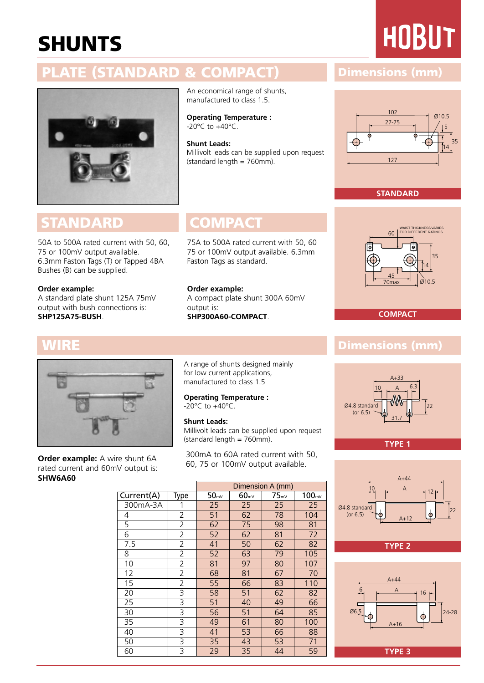# **SHUNTS**

# **HOBUT**

## **PLATE (STANDARD & COMPACT) Dimensions (mm)**



## **STANDARD COMPACT**

50A to 500A rated current with 50, 60, 75 or 100mV output available. 6.3mm Faston Tags (T) or Tapped 4BA Bushes (B) can be supplied.

### **Order example:**

A standard plate shunt 125A 75mV output with bush connections is: **SHP125A75-BUSH**.

### An economical range of shunts, manufactured to class 1.5.

**Operating Temperature :** -20°C to +40°C.

**Shunt Leads:**

Millivolt leads can be supplied upon request  $(\text{standard length} = 760 \text{mm})$ .

75A to 500A rated current with 50, 60 75 or 100mV output available. 6.3mm Faston Tags as standard.

**Order example:**  A compact plate shunt 300A 60mV output is: **SHP300A60-COMPACT**.



**Order example:** A wire shunt 6A rated current and 60mV output is: **SHW6A60**

A range of shunts designed mainly for low current applications, manufactured to class 1.5

**Operating Temperature :**  -20°C to +40°C.

### **Shunt Leads:**

Millivolt leads can be supplied upon request  $(statard length = 760mm)$ .

300mA to 60A rated current with 50, 60, 75 or 100mV output available.

Dimension A (mm)  $Current(A)$  Type  $50<sub>mV</sub>$  60 $<sub>mV</sub>$  75 $<sub>mV</sub>$  100 $<sub>mV</sub>$ </sub></sub></sub> 300mA-3A 1 25 25 25 25 4 2 51 62 78 104 5 2 62 75 98 81 6 72 52 62 81 72 7.5 | 2 | 41 | 50 | 62 | 82 8 | 2 | 52 | 63 | 79 | 105 10 | 2 | 81 | 97 | 80 | 107 12 | 2 | 68 | 81 | 67 | 70 15 | 2 | 55 | 66 | 83 | 110 20 | 3 | 58 | 51 | 62 | 82 25 | 3 | 51 | 40 | 49 | 66 30 | 3 | 56 | 51 | 64 | 85 35 | 3 | 49 | 61 | 80 | 100 40 | 3 | 41 | 53 | 66 | 88 50 | 3 | 35 | 43 | 53 | 71 60 3 29 35 44 59



### **STANDARD**



**COMPACT**

### **WIRE Dimensions (mm)**